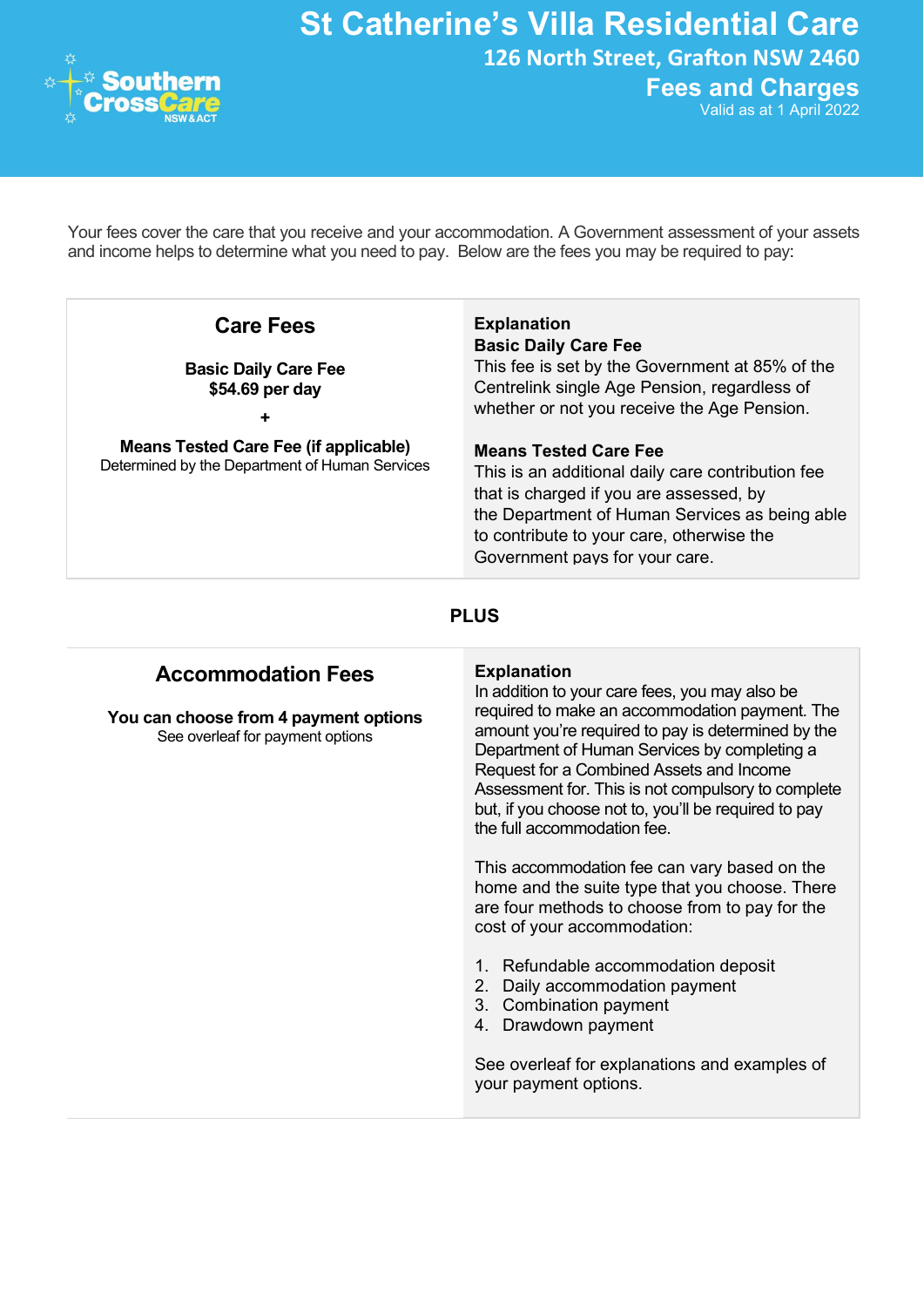

St Catherine's Villa Residential Care 126 North Street, Grafton NSW 2460

Fees and Charges

Valid as at 1 April 2022

Your fees cover the care that you receive and your accommodation. A Government assessment of your assets and income helps to determine what you need to pay. Below are the fees you may be required to pay:

| <b>Care Fees</b>                                                                               | <b>Explanation</b><br><b>Basic Daily Care Fee</b>                                                                                                                                                                                                             |
|------------------------------------------------------------------------------------------------|---------------------------------------------------------------------------------------------------------------------------------------------------------------------------------------------------------------------------------------------------------------|
| <b>Basic Daily Care Fee</b><br>\$54.69 per day                                                 | This fee is set by the Government at 85% of the<br>Centrelink single Age Pension, regardless of<br>whether or not you receive the Age Pension.                                                                                                                |
| <b>Means Tested Care Fee (if applicable)</b><br>Determined by the Department of Human Services | <b>Means Tested Care Fee</b><br>This is an additional daily care contribution fee<br>that is charged if you are assessed, by<br>the Department of Human Services as being able<br>to contribute to your care, otherwise the<br>Government pays for your care. |

## PLUS

## Accommodation Fees

You can choose from 4 payment options See overleaf for payment options

## Explanation

In addition to your care fees, you may also be required to make an accommodation payment. The amount you're required to pay is determined by the Department of Human Services by completing a Request for a Combined Assets and Income Assessment for. This is not compulsory to complete but, if you choose not to, you'll be required to pay the full accommodation fee.

This accommodation fee can vary based on the home and the suite type that you choose. There are four methods to choose from to pay for the cost of your accommodation:

- 1. Refundable accommodation deposit
- 2. Daily accommodation payment
- 3. Combination payment
- 4. Drawdown payment

See overleaf for explanations and examples of your payment options.